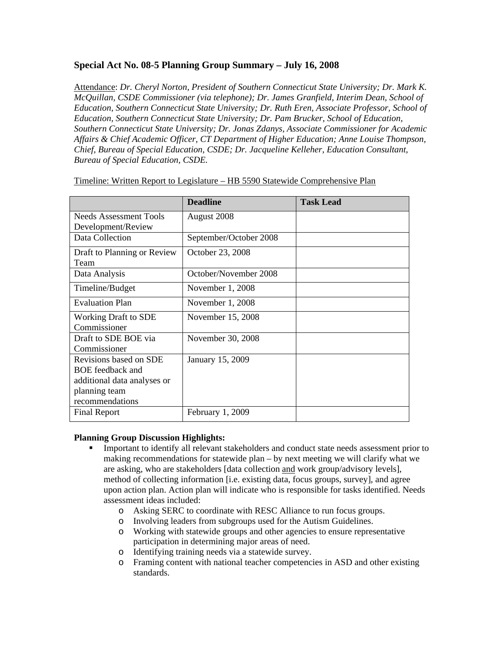## **Special Act No. 08-5 Planning Group Summary – July 16, 2008**

Attendance: *Dr. Cheryl Norton, President of Southern Connecticut State University; Dr. Mark K. McQuillan, CSDE Commissioner (via telephone); Dr. James Granfield, Interim Dean, School of Education, Southern Connecticut State University; Dr. Ruth Eren, Associate Professor, School of Education, Southern Connecticut State University; Dr. Pam Brucker, School of Education, Southern Connecticut State University; Dr. Jonas Zdanys, Associate Commissioner for Academic Affairs & Chief Academic Officer, CT Department of Higher Education; Anne Louise Thompson, Chief, Bureau of Special Education, CSDE; Dr. Jacqueline Kelleher, Education Consultant, Bureau of Special Education, CSDE.*

|                                     | <b>Deadline</b>        | <b>Task Lead</b> |  |  |
|-------------------------------------|------------------------|------------------|--|--|
| Needs Assessment Tools              | August 2008            |                  |  |  |
| Development/Review                  |                        |                  |  |  |
| Data Collection                     | September/October 2008 |                  |  |  |
| Draft to Planning or Review<br>Team | October 23, 2008       |                  |  |  |
| Data Analysis                       | October/November 2008  |                  |  |  |
| Timeline/Budget                     | November 1, 2008       |                  |  |  |
| <b>Evaluation Plan</b>              | November 1, 2008       |                  |  |  |
| <b>Working Draft to SDE</b>         | November 15, 2008      |                  |  |  |
| Commissioner                        |                        |                  |  |  |
| Draft to SDE BOE via                | November 30, 2008      |                  |  |  |
| Commissioner                        |                        |                  |  |  |
| Revisions based on SDE              | January 15, 2009       |                  |  |  |
| <b>BOE</b> feedback and             |                        |                  |  |  |
| additional data analyses or         |                        |                  |  |  |
| planning team                       |                        |                  |  |  |
| recommendations                     |                        |                  |  |  |
| <b>Final Report</b>                 | February 1, 2009       |                  |  |  |

Timeline: Written Report to Legislature – HB 5590 Statewide Comprehensive Plan

#### **Planning Group Discussion Highlights:**

- Important to identify all relevant stakeholders and conduct state needs assessment prior to making recommendations for statewide plan – by next meeting we will clarify what we are asking, who are stakeholders [data collection and work group/advisory levels], method of collecting information [i.e. existing data, focus groups, survey], and agree upon action plan. Action plan will indicate who is responsible for tasks identified. Needs assessment ideas included:
	- o Asking SERC to coordinate with RESC Alliance to run focus groups.
	- o Involving leaders from subgroups used for the Autism Guidelines.
	- o Working with statewide groups and other agencies to ensure representative participation in determining major areas of need.
	- o Identifying training needs via a statewide survey.
	- o Framing content with national teacher competencies in ASD and other existing standards.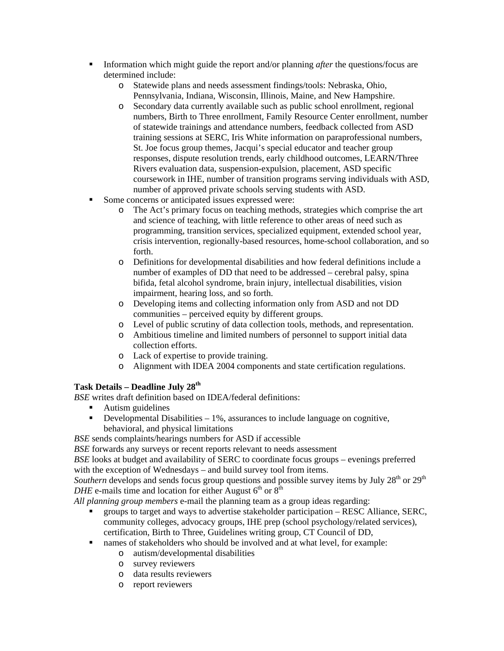- Information which might guide the report and/or planning *after* the questions/focus are determined include:
	- o Statewide plans and needs assessment findings/tools: Nebraska, Ohio, Pennsylvania, Indiana, Wisconsin, Illinois, Maine, and New Hampshire.
	- o Secondary data currently available such as public school enrollment, regional numbers, Birth to Three enrollment, Family Resource Center enrollment, number of statewide trainings and attendance numbers, feedback collected from ASD training sessions at SERC, Iris White information on paraprofessional numbers, St. Joe focus group themes, Jacqui's special educator and teacher group responses, dispute resolution trends, early childhood outcomes, LEARN/Three Rivers evaluation data, suspension-expulsion, placement, ASD specific coursework in IHE, number of transition programs serving individuals with ASD, number of approved private schools serving students with ASD.
- Some concerns or anticipated issues expressed were:
	- o The Act's primary focus on teaching methods, strategies which comprise the art and science of teaching, with little reference to other areas of need such as programming, transition services, specialized equipment, extended school year, crisis intervention, regionally-based resources, home-school collaboration, and so forth.
	- o Definitions for developmental disabilities and how federal definitions include a number of examples of DD that need to be addressed – cerebral palsy, spina bifida, fetal alcohol syndrome, brain injury, intellectual disabilities, vision impairment, hearing loss, and so forth.
	- o Developing items and collecting information only from ASD and not DD communities – perceived equity by different groups.
	- o Level of public scrutiny of data collection tools, methods, and representation.
	- o Ambitious timeline and limited numbers of personnel to support initial data collection efforts.
	- o Lack of expertise to provide training.
	- o Alignment with IDEA 2004 components and state certification regulations.

# **Task Details – Deadline July 28th**

*BSE* writes draft definition based on IDEA/federal definitions:

- **Autism guidelines**
- Developmental Disabilities  $-1\%$ , assurances to include language on cognitive, behavioral, and physical limitations

*BSE* sends complaints/hearings numbers for ASD if accessible

*BSE* forwards any surveys or recent reports relevant to needs assessment

*BSE* looks at budget and availability of SERC to coordinate focus groups – evenings preferred with the exception of Wednesdays – and build survey tool from items.

*Southern* develops and sends focus group questions and possible survey items by July  $28<sup>th</sup>$  or  $29<sup>th</sup>$ *DHE* e-mails time and location for either August  $6<sup>th</sup>$  or  $8<sup>th</sup>$ 

*All planning group members* e-mail the planning team as a group ideas regarding:

- groups to target and ways to advertise stakeholder participation RESC Alliance, SERC, community colleges, advocacy groups, IHE prep (school psychology/related services), certification, Birth to Three, Guidelines writing group, CT Council of DD,
- names of stakeholders who should be involved and at what level, for example:
	- o autism/developmental disabilities
		- o survey reviewers
		- o data results reviewers
		- o report reviewers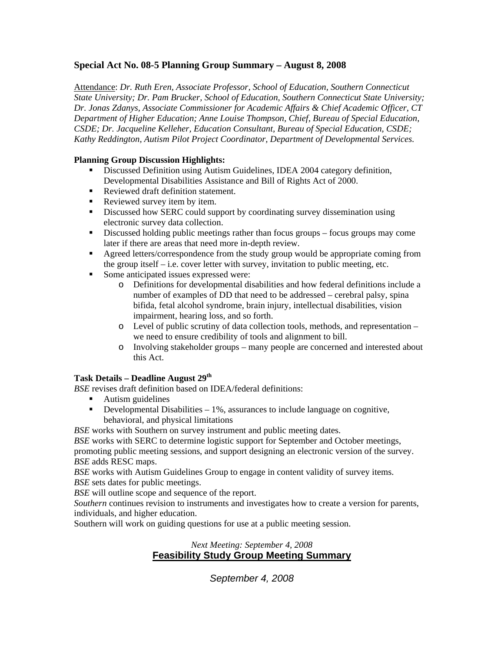## **Special Act No. 08-5 Planning Group Summary – August 8, 2008**

Attendance: *Dr. Ruth Eren, Associate Professor, School of Education, Southern Connecticut State University; Dr. Pam Brucker, School of Education, Southern Connecticut State University; Dr. Jonas Zdanys, Associate Commissioner for Academic Affairs & Chief Academic Officer, CT Department of Higher Education; Anne Louise Thompson, Chief, Bureau of Special Education, CSDE; Dr. Jacqueline Kelleher, Education Consultant, Bureau of Special Education, CSDE; Kathy Reddington, Autism Pilot Project Coordinator, Department of Developmental Services.*

#### **Planning Group Discussion Highlights:**

- Discussed Definition using Autism Guidelines, IDEA 2004 category definition, Developmental Disabilities Assistance and Bill of Rights Act of 2000.
- Reviewed draft definition statement.
- Reviewed survey item by item.
- Discussed how SERC could support by coordinating survey dissemination using electronic survey data collection.
- Discussed holding public meetings rather than focus groups focus groups may come later if there are areas that need more in-depth review.
- Agreed letters/correspondence from the study group would be appropriate coming from the group itself – i.e. cover letter with survey, invitation to public meeting, etc.
- Some anticipated issues expressed were:
	- o Definitions for developmental disabilities and how federal definitions include a number of examples of DD that need to be addressed – cerebral palsy, spina bifida, fetal alcohol syndrome, brain injury, intellectual disabilities, vision impairment, hearing loss, and so forth.
	- o Level of public scrutiny of data collection tools, methods, and representation we need to ensure credibility of tools and alignment to bill.
	- o Involving stakeholder groups many people are concerned and interested about this Act.

#### **Task Details – Deadline August 29th**

*BSE* revises draft definition based on IDEA/federal definitions:

- **Autism guidelines**
- Developmental Disabilities  $-1\%$ , assurances to include language on cognitive, behavioral, and physical limitations

*BSE* works with Southern on survey instrument and public meeting dates.

*BSE* works with SERC to determine logistic support for September and October meetings, promoting public meeting sessions, and support designing an electronic version of the survey. *BSE* adds RESC maps.

*BSE* works with Autism Guidelines Group to engage in content validity of survey items. *BSE* sets dates for public meetings.

*BSE* will outline scope and sequence of the report.

*Southern* continues revision to instruments and investigates how to create a version for parents, individuals, and higher education.

Southern will work on guiding questions for use at a public meeting session.

## *Next Meeting: September 4, 2008*  **Feasibility Study Group Meeting Summary**

*September 4, 2008*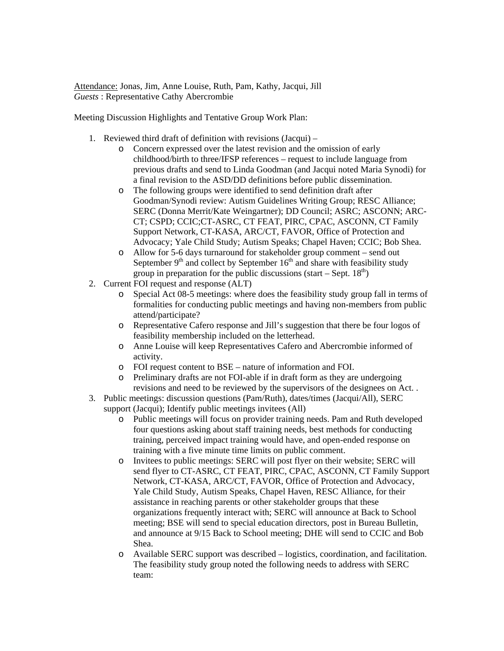Attendance: Jonas, Jim, Anne Louise, Ruth, Pam, Kathy, Jacqui, Jill *Guests* : Representative Cathy Abercrombie

Meeting Discussion Highlights and Tentative Group Work Plan:

- 1. Reviewed third draft of definition with revisions (Jacqui)
	- o Concern expressed over the latest revision and the omission of early childhood/birth to three/IFSP references – request to include language from previous drafts and send to Linda Goodman (and Jacqui noted Maria Synodi) for a final revision to the ASD/DD definitions before public dissemination.
	- o The following groups were identified to send definition draft after Goodman/Synodi review: Autism Guidelines Writing Group; RESC Alliance; SERC (Donna Merrit/Kate Weingartner); DD Council; ASRC; ASCONN; ARC-CT; CSPD; CCIC;CT-ASRC, CT FEAT, PIRC, CPAC, ASCONN, CT Family Support Network, CT-KASA, ARC/CT, FAVOR, Office of Protection and Advocacy; Yale Child Study; Autism Speaks; Chapel Haven; CCIC; Bob Shea.
	- o Allow for 5-6 days turnaround for stakeholder group comment send out September  $9<sup>th</sup>$  and collect by September  $16<sup>th</sup>$  and share with feasibility study group in preparation for the public discussions (start – Sept.  $18<sup>th</sup>$ )
- 2. Current FOI request and response (ALT)
	- o Special Act 08-5 meetings: where does the feasibility study group fall in terms of formalities for conducting public meetings and having non-members from public attend/participate?
	- o Representative Cafero response and Jill's suggestion that there be four logos of feasibility membership included on the letterhead.
	- o Anne Louise will keep Representatives Cafero and Abercrombie informed of activity.
	- o FOI request content to BSE nature of information and FOI.
	- o Preliminary drafts are not FOI-able if in draft form as they are undergoing revisions and need to be reviewed by the supervisors of the designees on Act. .
- 3. Public meetings: discussion questions (Pam/Ruth), dates/times (Jacqui/All), SERC support (Jacqui); Identify public meetings invitees (All)
	- o Public meetings will focus on provider training needs. Pam and Ruth developed four questions asking about staff training needs, best methods for conducting training, perceived impact training would have, and open-ended response on training with a five minute time limits on public comment.
	- o Invitees to public meetings: SERC will post flyer on their website; SERC will send flyer to CT-ASRC, CT FEAT, PIRC, CPAC, ASCONN, CT Family Support Network, CT-KASA, ARC/CT, FAVOR, Office of Protection and Advocacy, Yale Child Study, Autism Speaks, Chapel Haven, RESC Alliance, for their assistance in reaching parents or other stakeholder groups that these organizations frequently interact with; SERC will announce at Back to School meeting; BSE will send to special education directors, post in Bureau Bulletin, and announce at 9/15 Back to School meeting; DHE will send to CCIC and Bob Shea.
	- o Available SERC support was described logistics, coordination, and facilitation. The feasibility study group noted the following needs to address with SERC team: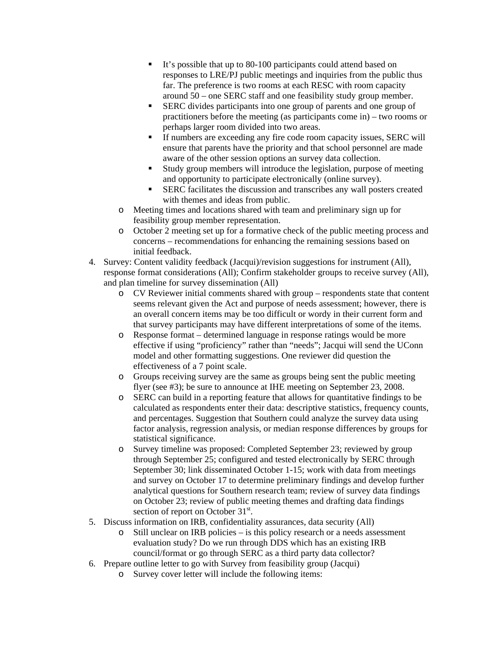- It's possible that up to 80-100 participants could attend based on responses to LRE/PJ public meetings and inquiries from the public thus far. The preference is two rooms at each RESC with room capacity around 50 – one SERC staff and one feasibility study group member.
- SERC divides participants into one group of parents and one group of practitioners before the meeting (as participants come in) – two rooms or perhaps larger room divided into two areas.
- If numbers are exceeding any fire code room capacity issues, SERC will ensure that parents have the priority and that school personnel are made aware of the other session options an survey data collection.
- Study group members will introduce the legislation, purpose of meeting and opportunity to participate electronically (online survey).
- SERC facilitates the discussion and transcribes any wall posters created with themes and ideas from public.
- o Meeting times and locations shared with team and preliminary sign up for feasibility group member representation.
- o October 2 meeting set up for a formative check of the public meeting process and concerns – recommendations for enhancing the remaining sessions based on initial feedback.
- 4. Survey: Content validity feedback (Jacqui)/revision suggestions for instrument (All), response format considerations (All); Confirm stakeholder groups to receive survey (All), and plan timeline for survey dissemination (All)
	- o CV Reviewer initial comments shared with group respondents state that content seems relevant given the Act and purpose of needs assessment; however, there is an overall concern items may be too difficult or wordy in their current form and that survey participants may have different interpretations of some of the items.
	- o Response format determined language in response ratings would be more effective if using "proficiency" rather than "needs"; Jacqui will send the UConn model and other formatting suggestions. One reviewer did question the effectiveness of a 7 point scale.
	- o Groups receiving survey are the same as groups being sent the public meeting flyer (see #3); be sure to announce at IHE meeting on September 23, 2008.
	- o SERC can build in a reporting feature that allows for quantitative findings to be calculated as respondents enter their data: descriptive statistics, frequency counts, and percentages. Suggestion that Southern could analyze the survey data using factor analysis, regression analysis, or median response differences by groups for statistical significance.
	- o Survey timeline was proposed: Completed September 23; reviewed by group through September 25; configured and tested electronically by SERC through September 30; link disseminated October 1-15; work with data from meetings and survey on October 17 to determine preliminary findings and develop further analytical questions for Southern research team; review of survey data findings on October 23; review of public meeting themes and drafting data findings section of report on October 31<sup>st</sup>.
- 5. Discuss information on IRB, confidentiality assurances, data security (All)
	- o Still unclear on IRB policies is this policy research or a needs assessment evaluation study? Do we run through DDS which has an existing IRB council/format or go through SERC as a third party data collector?
- 6. Prepare outline letter to go with Survey from feasibility group (Jacqui)
	- o Survey cover letter will include the following items: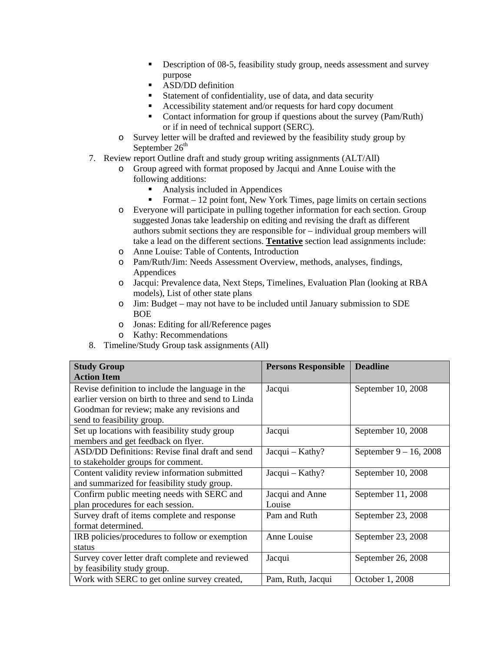- Description of 08-5, feasibility study group, needs assessment and survey purpose
- ASD/DD definition
- Statement of confidentiality, use of data, and data security
- Accessibility statement and/or requests for hard copy document
- Contact information for group if questions about the survey (Pam/Ruth) or if in need of technical support (SERC).
- o Survey letter will be drafted and reviewed by the feasibility study group by September  $26<sup>th</sup>$
- 7. Review report Outline draft and study group writing assignments (ALT/All)
	- o Group agreed with format proposed by Jacqui and Anne Louise with the following additions:
		- Analysis included in Appendices
		- Format 12 point font, New York Times, page limits on certain sections
	- o Everyone will participate in pulling together information for each section. Group suggested Jonas take leadership on editing and revising the draft as different authors submit sections they are responsible for – individual group members will take a lead on the different sections. **Tentative** section lead assignments include:
	- o Anne Louise: Table of Contents, Introduction
	- o Pam/Ruth/Jim: Needs Assessment Overview, methods, analyses, findings, **Appendices**
	- o Jacqui: Prevalence data, Next Steps, Timelines, Evaluation Plan (looking at RBA models), List of other state plans
	- o Jim: Budget may not have to be included until January submission to SDE BOE
	- o Jonas: Editing for all/Reference pages
	- o Kathy: Recommendations
- 8. Timeline/Study Group task assignments (All)

| <b>Study Group</b><br><b>Action Item</b>                                                                                                                                            | <b>Persons Responsible</b> | <b>Deadline</b>           |
|-------------------------------------------------------------------------------------------------------------------------------------------------------------------------------------|----------------------------|---------------------------|
| Revise definition to include the language in the<br>earlier version on birth to three and send to Linda<br>Goodman for review; make any revisions and<br>send to feasibility group. | Jacqui                     | September 10, 2008        |
| Set up locations with feasibility study group<br>members and get feedback on flyer.                                                                                                 | Jacqui                     | September 10, 2008        |
| ASD/DD Definitions: Revise final draft and send<br>to stakeholder groups for comment.                                                                                               | Jacqui - Kathy?            | September $9 - 16$ , 2008 |
| Content validity review information submitted<br>and summarized for feasibility study group.                                                                                        | $Jacqui - Kathy?$          | September 10, 2008        |
| Confirm public meeting needs with SERC and<br>plan procedures for each session.                                                                                                     | Jacqui and Anne<br>Louise  | September 11, 2008        |
| Survey draft of items complete and response<br>format determined.                                                                                                                   | Pam and Ruth               | September 23, 2008        |
| IRB policies/procedures to follow or exemption<br>status                                                                                                                            | Anne Louise                | September 23, 2008        |
| Survey cover letter draft complete and reviewed<br>by feasibility study group.                                                                                                      | Jacqui                     | September 26, 2008        |
| Work with SERC to get online survey created,                                                                                                                                        | Pam, Ruth, Jacqui          | October 1, 2008           |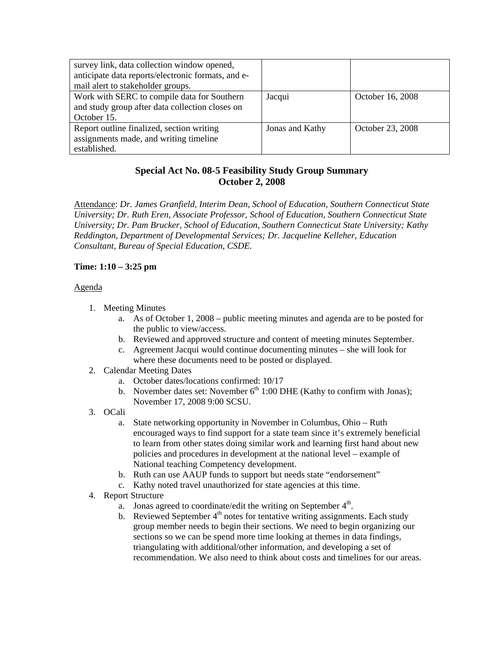| survey link, data collection window opened,<br>anticipate data reports/electronic formats, and e-<br>mail alert to stakeholder groups. |                 |                  |
|----------------------------------------------------------------------------------------------------------------------------------------|-----------------|------------------|
| Work with SERC to compile data for Southern<br>and study group after data collection closes on<br>October 15.                          | Jacqui          | October 16, 2008 |
| Report outline finalized, section writing<br>assignments made, and writing timeline<br>established.                                    | Jonas and Kathy | October 23, 2008 |

# **Special Act No. 08-5 Feasibility Study Group Summary October 2, 2008**

Attendance: *Dr. James Granfield, Interim Dean, School of Education, Southern Connecticut State University; Dr. Ruth Eren, Associate Professor, School of Education, Southern Connecticut State University; Dr. Pam Brucker, School of Education, Southern Connecticut State University; Kathy Reddington, Department of Developmental Services; Dr. Jacqueline Kelleher, Education Consultant, Bureau of Special Education, CSDE.*

### **Time: 1:10 – 3:25 pm**

#### Agenda

- 1. Meeting Minutes
	- a. As of October 1, 2008 public meeting minutes and agenda are to be posted for the public to view/access.
	- b. Reviewed and approved structure and content of meeting minutes September.
	- c. Agreement Jacqui would continue documenting minutes she will look for where these documents need to be posted or displayed.
- 2. Calendar Meeting Dates
	- a. October dates/locations confirmed: 10/17
	- b. November dates set: November  $6<sup>th</sup> 1:00$  DHE (Kathy to confirm with Jonas); November 17, 2008 9:00 SCSU.
- 3. OCali
	- a. State networking opportunity in November in Columbus, Ohio Ruth encouraged ways to find support for a state team since it's extremely beneficial to learn from other states doing similar work and learning first hand about new policies and procedures in development at the national level – example of National teaching Competency development.
	- b. Ruth can use AAUP funds to support but needs state "endorsement"
	- c. Kathy noted travel unauthorized for state agencies at this time.
- 4. Report Structure
	- a. Jonas agreed to coordinate/edit the writing on September  $4<sup>th</sup>$ .
	- b. Reviewed September  $4<sup>th</sup>$  notes for tentative writing assignments. Each study group member needs to begin their sections. We need to begin organizing our sections so we can be spend more time looking at themes in data findings, triangulating with additional/other information, and developing a set of recommendation. We also need to think about costs and timelines for our areas.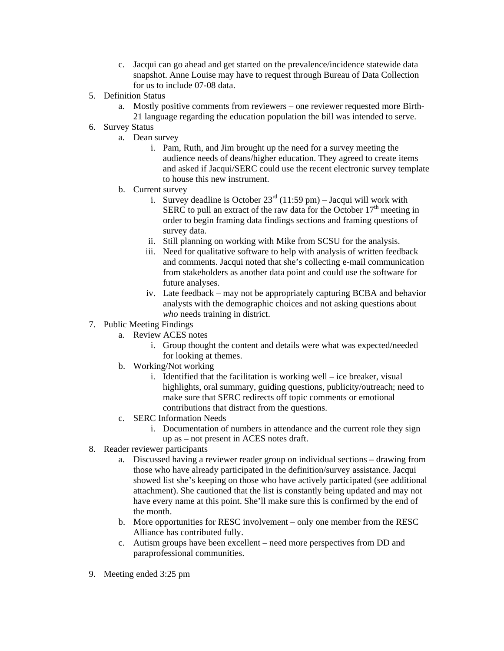- c. Jacqui can go ahead and get started on the prevalence/incidence statewide data snapshot. Anne Louise may have to request through Bureau of Data Collection for us to include 07-08 data.
- 5. Definition Status
	- a. Mostly positive comments from reviewers one reviewer requested more Birth-21 language regarding the education population the bill was intended to serve.
- 6. Survey Status
	- a. Dean survey
		- i. Pam, Ruth, and Jim brought up the need for a survey meeting the audience needs of deans/higher education. They agreed to create items and asked if Jacqui/SERC could use the recent electronic survey template to house this new instrument.
	- b. Current survey
		- i. Survey deadline is October  $23^{\text{rd}}$  (11:59 pm) Jacqui will work with SERC to pull an extract of the raw data for the October  $17<sup>th</sup>$  meeting in order to begin framing data findings sections and framing questions of survey data.
		- ii. Still planning on working with Mike from SCSU for the analysis.
		- iii. Need for qualitative software to help with analysis of written feedback and comments. Jacqui noted that she's collecting e-mail communication from stakeholders as another data point and could use the software for future analyses.
		- iv. Late feedback may not be appropriately capturing BCBA and behavior analysts with the demographic choices and not asking questions about *who* needs training in district.
- 7. Public Meeting Findings
	- a. Review ACES notes
		- i. Group thought the content and details were what was expected/needed for looking at themes.
	- b. Working/Not working
		- i. Identified that the facilitation is working well ice breaker, visual highlights, oral summary, guiding questions, publicity/outreach; need to make sure that SERC redirects off topic comments or emotional contributions that distract from the questions.
	- c. SERC Information Needs
		- i. Documentation of numbers in attendance and the current role they sign up as – not present in ACES notes draft.
- 8. Reader reviewer participants
	- a. Discussed having a reviewer reader group on individual sections drawing from those who have already participated in the definition/survey assistance. Jacqui showed list she's keeping on those who have actively participated (see additional attachment). She cautioned that the list is constantly being updated and may not have every name at this point. She'll make sure this is confirmed by the end of the month.
	- b. More opportunities for RESC involvement only one member from the RESC Alliance has contributed fully.
	- c. Autism groups have been excellent need more perspectives from DD and paraprofessional communities.
- 9. Meeting ended 3:25 pm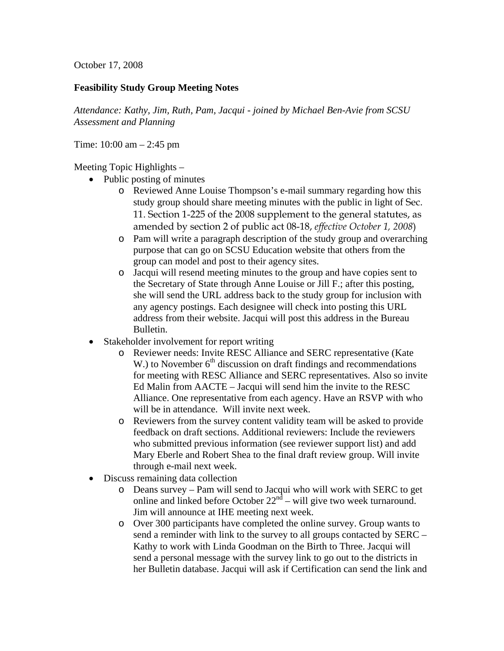October 17, 2008

### **Feasibility Study Group Meeting Notes**

*Attendance: Kathy, Jim, Ruth, Pam, Jacqui - joined by Michael Ben-Avie from SCSU Assessment and Planning* 

Time: 10:00 am – 2:45 pm

Meeting Topic Highlights –

- Public posting of minutes
	- o Reviewed Anne Louise Thompson's e-mail summary regarding how this study group should share meeting minutes with the public in light of Sec. 11. Section 1-225 of the 2008 supplement to the general statutes, as amended by section 2 of public act 08-18, *effective October 1, 2008*)
	- o Pam will write a paragraph description of the study group and overarching purpose that can go on SCSU Education website that others from the group can model and post to their agency sites.
	- o Jacqui will resend meeting minutes to the group and have copies sent to the Secretary of State through Anne Louise or Jill F.; after this posting, she will send the URL address back to the study group for inclusion with any agency postings. Each designee will check into posting this URL address from their website. Jacqui will post this address in the Bureau Bulletin.
- Stakeholder involvement for report writing
	- o Reviewer needs: Invite RESC Alliance and SERC representative (Kate W.) to November  $6<sup>th</sup>$  discussion on draft findings and recommendations for meeting with RESC Alliance and SERC representatives. Also so invite Ed Malin from AACTE – Jacqui will send him the invite to the RESC Alliance. One representative from each agency. Have an RSVP with who will be in attendance. Will invite next week.
	- o Reviewers from the survey content validity team will be asked to provide feedback on draft sections. Additional reviewers: Include the reviewers who submitted previous information (see reviewer support list) and add Mary Eberle and Robert Shea to the final draft review group. Will invite through e-mail next week.
- Discuss remaining data collection
	- o Deans survey Pam will send to Jacqui who will work with SERC to get online and linked before October 22nd – will give two week turnaround. Jim will announce at IHE meeting next week.
	- o Over 300 participants have completed the online survey. Group wants to send a reminder with link to the survey to all groups contacted by SERC – Kathy to work with Linda Goodman on the Birth to Three. Jacqui will send a personal message with the survey link to go out to the districts in her Bulletin database. Jacqui will ask if Certification can send the link and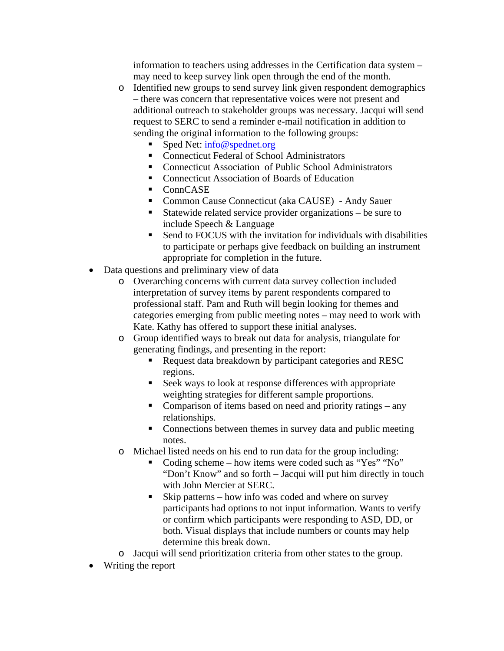information to teachers using addresses in the Certification data system – may need to keep survey link open through the end of the month.

- o Identified new groups to send survey link given respondent demographics – there was concern that representative voices were not present and additional outreach to stakeholder groups was necessary. Jacqui will send request to SERC to send a reminder e-mail notification in addition to sending the original information to the following groups:
	- Sped Net: info@spednet.org
	- Connecticut Federal of School Administrators
	- Connecticut Association of Public School Administrators
	- Connecticut Association of Boards of Education
	- ConnCASE
	- Common Cause Connecticut (aka CAUSE) Andy Sauer
	- Statewide related service provider organizations be sure to include Speech & Language
	- Send to FOCUS with the invitation for individuals with disabilities to participate or perhaps give feedback on building an instrument appropriate for completion in the future.
- Data questions and preliminary view of data
	- o Overarching concerns with current data survey collection included interpretation of survey items by parent respondents compared to professional staff. Pam and Ruth will begin looking for themes and categories emerging from public meeting notes – may need to work with Kate. Kathy has offered to support these initial analyses.
	- o Group identified ways to break out data for analysis, triangulate for generating findings, and presenting in the report:
		- Request data breakdown by participant categories and RESC regions.
		- Seek ways to look at response differences with appropriate weighting strategies for different sample proportions.
		- Comparison of items based on need and priority ratings  $-$  any relationships.
		- Connections between themes in survey data and public meeting notes.
	- o Michael listed needs on his end to run data for the group including:
		- Coding scheme how items were coded such as "Yes" "No" "Don't Know" and so forth – Jacqui will put him directly in touch with John Mercier at SERC.
		- Skip patterns how info was coded and where on survey participants had options to not input information. Wants to verify or confirm which participants were responding to ASD, DD, or both. Visual displays that include numbers or counts may help determine this break down.
	- o Jacqui will send prioritization criteria from other states to the group.
- Writing the report